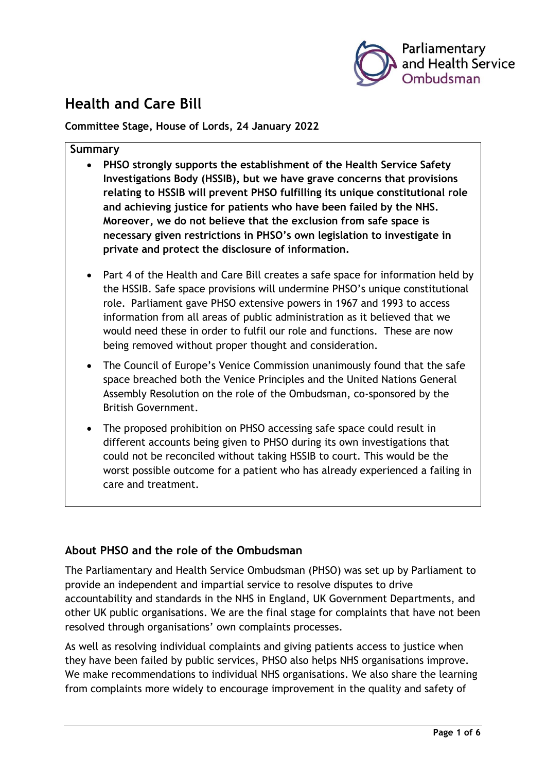

# **Health and Care Bill**

**Committee Stage, House of Lords, 24 January 2022**

### **Summary**

- **PHSO strongly supports the establishment of the Health Service Safety Investigations Body (HSSIB), but we have grave concerns that provisions relating to HSSIB will prevent PHSO fulfilling its unique constitutional role and achieving justice for patients who have been failed by the NHS. Moreover, we do not believe that the exclusion from safe space is necessary given restrictions in PHSO's own legislation to investigate in private and protect the disclosure of information.**
- Part 4 of the Health and Care Bill creates a safe space for information held by the HSSIB. Safe space provisions will undermine PHSO's unique constitutional role. Parliament gave PHSO extensive powers in 1967 and 1993 to access information from all areas of public administration as it believed that we would need these in order to fulfil our role and functions. These are now being removed without proper thought and consideration.
- The Council of Europe's Venice Commission unanimously found that the safe space breached both the Venice Principles and the United Nations General Assembly Resolution on the role of the Ombudsman, co-sponsored by the British Government.
- The proposed prohibition on PHSO accessing safe space could result in different accounts being given to PHSO during its own investigations that could not be reconciled without taking HSSIB to court. This would be the worst possible outcome for a patient who has already experienced a failing in care and treatment.

## **About PHSO and the role of the Ombudsman**

The Parliamentary and Health Service Ombudsman (PHSO) was set up by Parliament to provide an independent and impartial service to resolve disputes to drive accountability and standards in the NHS in England, UK Government Departments, and other UK public organisations. We are the final stage for complaints that have not been resolved through organisations' own complaints processes.

As well as resolving individual complaints and giving patients access to justice when they have been failed by public services, PHSO also helps NHS organisations improve. We make recommendations to individual NHS organisations. We also share the learning from complaints more widely to encourage improvement in the quality and safety of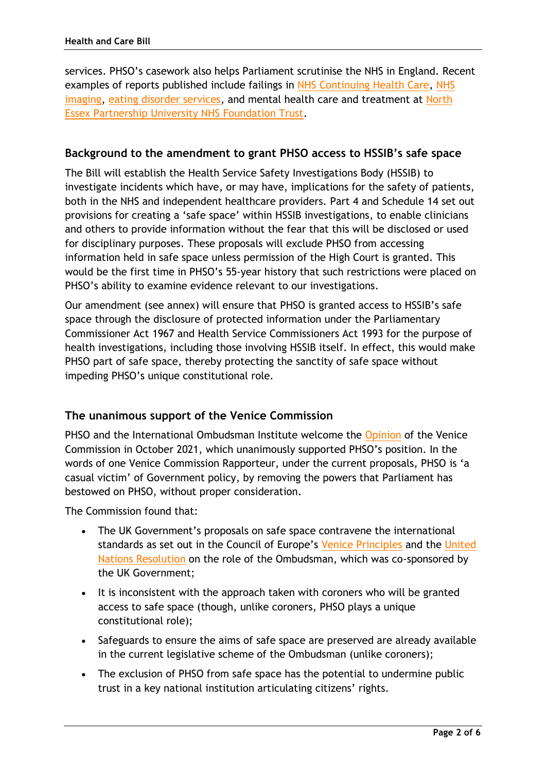services. PHSO's casework also helps Parliament scrutinise the NHS in England. Recent examples of reports published include failings in [NHS Continuing Health Care,](https://www.ombudsman.org.uk/publications/continuing-healthcare-getting-it-right-first-time) [NHS](https://www.ombudsman.org.uk/publications/unlocking-solutions-imaging-working-together-learn-failings-nhs)  [imaging,](https://www.ombudsman.org.uk/publications/unlocking-solutions-imaging-working-together-learn-failings-nhs) [eating disorder services,](https://www.ombudsman.org.uk/publications/ignoring-alarms-how-nhs-eating-disorder-services-are-failing-patients) and mental health care and treatment at North [Essex Partnership University NHS Foundation Trust.](https://www.ombudsman.org.uk/missed-opportunities)

## **Background to the amendment to grant PHSO access to HSSIB's safe space**

The Bill will establish the Health Service Safety Investigations Body (HSSIB) to investigate incidents which have, or may have, implications for the safety of patients, both in the NHS and independent healthcare providers. Part 4 and Schedule 14 set out provisions for creating a 'safe space' within HSSIB investigations, to enable clinicians and others to provide information without the fear that this will be disclosed or used for disciplinary purposes. These proposals will exclude PHSO from accessing information held in safe space unless permission of the High Court is granted. This would be the first time in PHSO's 55-year history that such restrictions were placed on PHSO's ability to examine evidence relevant to our investigations.

Our amendment (see annex) will ensure that PHSO is granted access to HSSIB's safe space through the disclosure of protected information under the Parliamentary Commissioner Act 1967 and Health Service Commissioners Act 1993 for the purpose of health investigations, including those involving HSSIB itself. In effect, this would make PHSO part of safe space, thereby protecting the sanctity of safe space without impeding PHSO's unique constitutional role.

### **The unanimous support of the Venice Commission**

PHSO and the International Ombudsman Institute welcome the [Opinion](https://www.ombudsman.org.uk/news-and-blog/news/ombudsman-welcomes-venice-commissions-opinion-health-and-care-bill) of the Venice Commission in October 2021, which unanimously supported PHSO's position. In the words of one Venice Commission Rapporteur, under the current proposals, PHSO is 'a casual victim' of Government policy, by removing the powers that Parliament has bestowed on PHSO, without proper consideration.

The Commission found that:

- The UK Government's proposals on safe space contravene the international standards as set out in the Council of Europe's [Venice Principles](https://www.venice.coe.int/webforms/documents/default.aspx?pdffile=CDL-AD(2019)005-e) and the [United](https://undocs.org/en/A/RES/75/186)  [Nations Resolution](https://undocs.org/en/A/RES/75/186) on the role of the Ombudsman, which was co-sponsored by the UK Government;
- It is inconsistent with the approach taken with coroners who will be granted access to safe space (though, unlike coroners, PHSO plays a unique constitutional role);
- Safeguards to ensure the aims of safe space are preserved are already available in the current legislative scheme of the Ombudsman (unlike coroners);
- The exclusion of PHSO from safe space has the potential to undermine public trust in a key national institution articulating citizens' rights.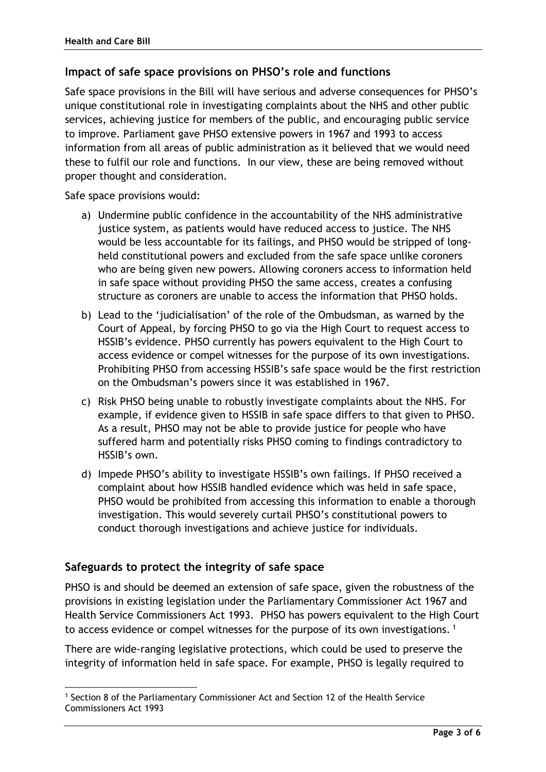## **Impact of safe space provisions on PHSO's role and functions**

Safe space provisions in the Bill will have serious and adverse consequences for PHSO's unique constitutional role in investigating complaints about the NHS and other public services, achieving justice for members of the public, and encouraging public service to improve. Parliament gave PHSO extensive powers in 1967 and 1993 to access information from all areas of public administration as it believed that we would need these to fulfil our role and functions. In our view, these are being removed without proper thought and consideration.

Safe space provisions would:

- a) Undermine public confidence in the accountability of the NHS administrative justice system, as patients would have reduced access to justice. The NHS would be less accountable for its failings, and PHSO would be stripped of longheld constitutional powers and excluded from the safe space unlike coroners who are being given new powers. Allowing coroners access to information held in safe space without providing PHSO the same access, creates a confusing structure as coroners are unable to access the information that PHSO holds.
- b) Lead to the 'judicialisation' of the role of the Ombudsman, as warned by the Court of Appeal, by forcing PHSO to go via the High Court to request access to HSSIB's evidence. PHSO currently has powers equivalent to the High Court to access evidence or compel witnesses for the purpose of its own investigations. Prohibiting PHSO from accessing HSSIB's safe space would be the first restriction on the Ombudsman's powers since it was established in 1967.
- c) Risk PHSO being unable to robustly investigate complaints about the NHS. For example, if evidence given to HSSIB in safe space differs to that given to PHSO. As a result, PHSO may not be able to provide justice for people who have suffered harm and potentially risks PHSO coming to findings contradictory to HSSIB's own.
- d) Impede PHSO's ability to investigate HSSIB's own failings. If PHSO received a complaint about how HSSIB handled evidence which was held in safe space, PHSO would be prohibited from accessing this information to enable a thorough investigation. This would severely curtail PHSO's constitutional powers to conduct thorough investigations and achieve justice for individuals.

## **Safeguards to protect the integrity of safe space**

PHSO is and should be deemed an extension of safe space, given the robustness of the provisions in existing legislation under the Parliamentary Commissioner Act 1967 and Health Service Commissioners Act 1993. PHSO has powers equivalent to the High Court to access evidence or compel witnesses for the purpose of its own investigations.<sup>1</sup>

There are wide-ranging legislative protections, which could be used to preserve the integrity of information held in safe space. For example, PHSO is legally required to

<sup>1</sup> Section 8 of the Parliamentary Commissioner Act and Section 12 of the Health Service Commissioners Act 1993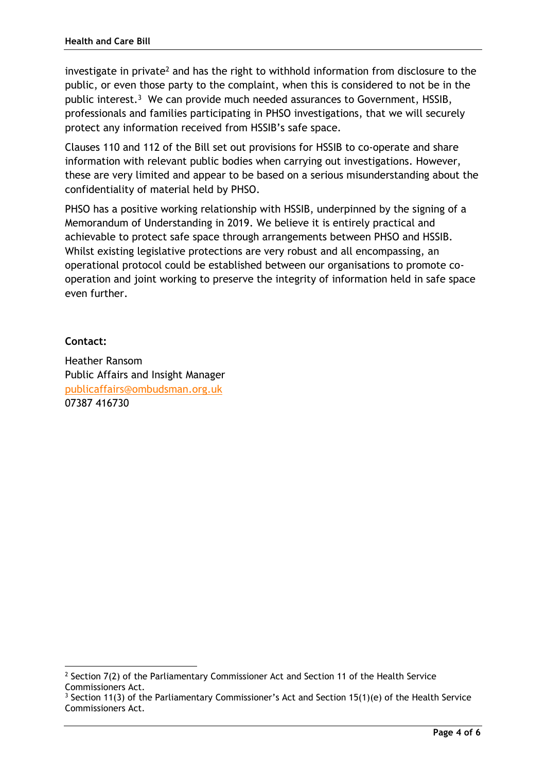investigate in private<sup>2</sup> and has the right to withhold information from disclosure to the public, or even those party to the complaint, when this is considered to not be in the public interest. 3 We can provide much needed assurances to Government, HSSIB, professionals and families participating in PHSO investigations, that we will securely protect any information received from HSSIB's safe space.

Clauses 110 and 112 of the Bill set out provisions for HSSIB to co-operate and share information with relevant public bodies when carrying out investigations. However, these are very limited and appear to be based on a serious misunderstanding about the confidentiality of material held by PHSO.

PHSO has a positive working relationship with HSSIB, underpinned by the signing of a Memorandum of Understanding in 2019. We believe it is entirely practical and achievable to protect safe space through arrangements between PHSO and HSSIB. Whilst existing legislative protections are very robust and all encompassing, an operational protocol could be established between our organisations to promote cooperation and joint working to preserve the integrity of information held in safe space even further.

## **Contact:**

Heather Ransom Public Affairs and Insight Manager [publicaffairs@ombudsman.org.uk](mailto:publicaffairs@ombudsman.org.uk) 07387 416730

 $2$  Section 7(2) of the Parliamentary Commissioner Act and Section 11 of the Health Service Commissioners Act.

<sup>&</sup>lt;sup>3</sup> Section 11(3) of the Parliamentary Commissioner's Act and Section 15(1)(e) of the Health Service Commissioners Act.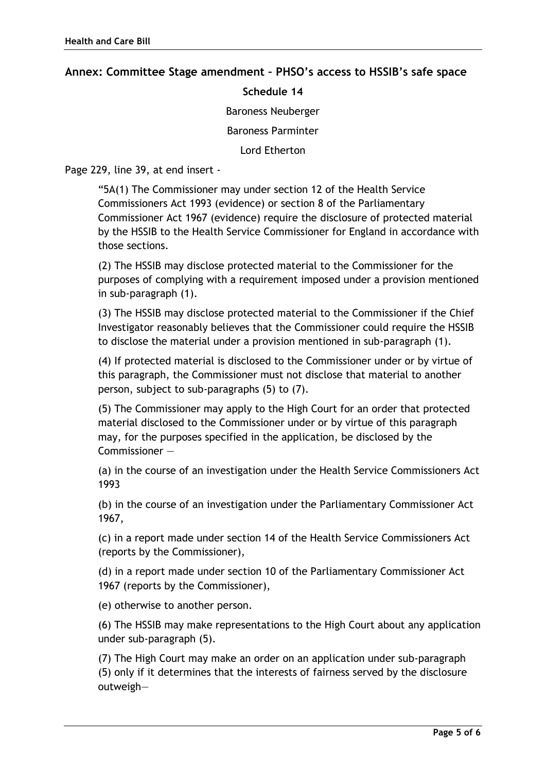### **Annex: Committee Stage amendment – PHSO's access to HSSIB's safe space**

#### **Schedule 14**

Baroness Neuberger

Baroness Parminter

Lord Etherton

Page 229, line 39, at end insert -

"5A(1) The Commissioner may under section 12 of the Health Service Commissioners Act 1993 (evidence) or section 8 of the Parliamentary Commissioner Act 1967 (evidence) require the disclosure of protected material by the HSSIB to the Health Service Commissioner for England in accordance with those sections.

(2) The HSSIB may disclose protected material to the Commissioner for the purposes of complying with a requirement imposed under a provision mentioned in sub-paragraph (1).

(3) The HSSIB may disclose protected material to the Commissioner if the Chief Investigator reasonably believes that the Commissioner could require the HSSIB to disclose the material under a provision mentioned in sub-paragraph (1).

(4) If protected material is disclosed to the Commissioner under or by virtue of this paragraph, the Commissioner must not disclose that material to another person, subject to sub-paragraphs (5) to (7).

(5) The Commissioner may apply to the High Court for an order that protected material disclosed to the Commissioner under or by virtue of this paragraph may, for the purposes specified in the application, be disclosed by the Commissioner —

(a) in the course of an investigation under the Health Service Commissioners Act 1993

(b) in the course of an investigation under the Parliamentary Commissioner Act 1967,

(c) in a report made under section 14 of the Health Service Commissioners Act (reports by the Commissioner),

(d) in a report made under section 10 of the Parliamentary Commissioner Act 1967 (reports by the Commissioner),

(e) otherwise to another person.

(6) The HSSIB may make representations to the High Court about any application under sub-paragraph (5).

(7) The High Court may make an order on an application under sub-paragraph (5) only if it determines that the interests of fairness served by the disclosure outweigh